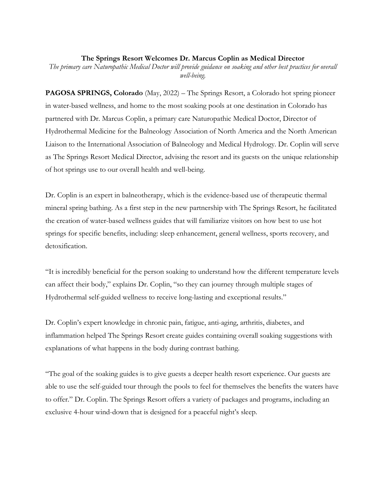## **The Springs Resort Welcomes Dr. Marcus Coplin as Medical Director**

*The primary care Naturopathic Medical Doctor will provide guidance on soaking and other best practices for overall well-being.* 

**PAGOSA SPRINGS, Colorado** (May, 2022) – The Springs Resort, a Colorado hot spring pioneer in water-based wellness, and home to the most soaking pools at one destination in Colorado has partnered with Dr. Marcus Coplin, a primary care Naturopathic Medical Doctor, Director of Hydrothermal Medicine for the Balneology Association of North America and the North American Liaison to the International Association of Balneology and Medical Hydrology. Dr. Coplin will serve as The Springs Resort Medical Director, advising the resort and its guests on the unique relationship of hot springs use to our overall health and well-being.

Dr. Coplin is an expert in balneotherapy, which is the evidence-based use of therapeutic thermal mineral spring bathing. As a first step in the new partnership with The Springs Resort, he facilitated the creation of water-based wellness guides that will familiarize visitors on how best to use hot springs for specific benefits, including: sleep enhancement, general wellness, sports recovery, and detoxification.

"It is incredibly beneficial for the person soaking to understand how the different temperature levels can affect their body," explains Dr. Coplin, "so they can journey through multiple stages of Hydrothermal self-guided wellness to receive long-lasting and exceptional results."

Dr. Coplin's expert knowledge in chronic pain, fatigue, anti-aging, arthritis, diabetes, and inflammation helped The Springs Resort create guides containing overall soaking suggestions with explanations of what happens in the body during contrast bathing.

"The goal of the soaking guides is to give guests a deeper health resort experience. Our guests are able to use the self-guided tour through the pools to feel for themselves the benefits the waters have to offer." Dr. Coplin. The Springs Resort offers a variety of packages and programs, including an exclusive 4-hour wind-down that is designed for a peaceful night's sleep.